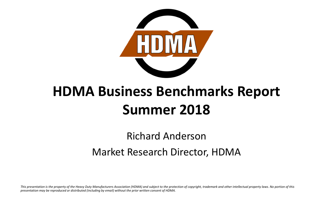

### **HDMA Business Benchmarks Report Summer 2018**

Richard Anderson

Market Research Director, HDMA

*This presentation is the property of the Heavy Duty Manufacturers Association (HDMA) and subject to the protection of copyright, trademark and other intellectual property laws. No portion of this presentation may be reproduced or distributed (including by email) without the prior written consent of HDMA.*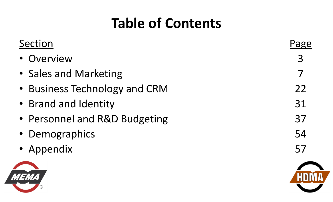### **Table of Contents**

| Section                       | Page |
|-------------------------------|------|
| Overview                      | 3    |
| • Sales and Marketing         |      |
| • Business Technology and CRM | 22   |
| • Brand and Identity          | 31   |
| • Personnel and R&D Budgeting | 37   |
| • Demographics                | 54   |
| • Appendix                    | 57   |
|                               |      |
|                               |      |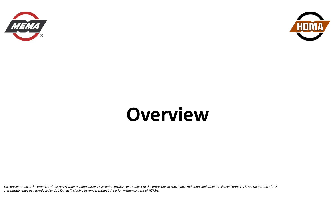



## **Overview**

*This presentation is the property of the Heavy Duty Manufacturers Association (HDMA) and subject to the protection of copyright, trademark and other intellectual property laws. No portion of this presentation may be reproduced or distributed (including by email) without the prior written consent of HDMA.*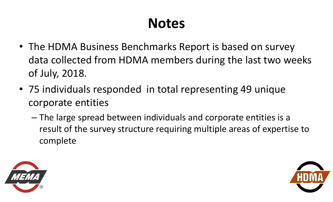### **Notes**

- The HDMA Business Benchmarks Report is based on survey data collected from HDMA members during the last two weeks of July, 2018.
- 75 individuals responded in total representing 49 unique corporate entities
	- – The large spread between individuals and corporate entities is a result of the survey structure requiring multiple areas of expertise to complete



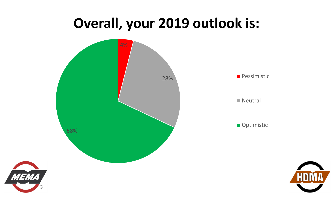#### **Overall, your 2019 outlook is:**



*MEMA* 

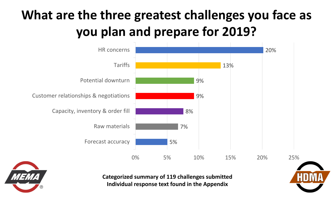



**Categorized summary of 119 challenges submitted Individual response text found in the Appendix**

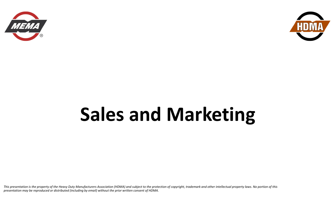



## **Sales and Marketing**

*This presentation is the property of the Heavy Duty Manufacturers Association (HDMA) and subject to the protection of copyright, trademark and other intellectual property laws. No portion of this presentation may be reproduced or distributed (including by email) without the prior written consent of HDMA.*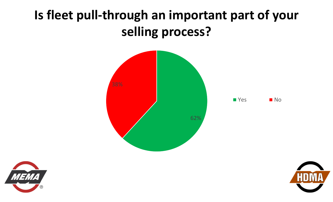#### **Is fleet pull‐through an important part of your selling process?**



■ Yes ■ No



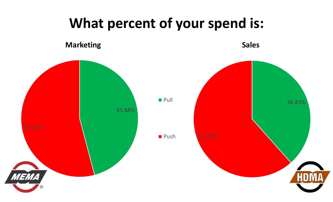#### **What percent of your spend is:**

**Marketing Sales Sales** 

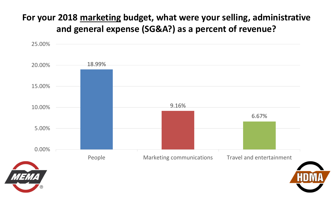#### **For your 2018 marketing budget, what were your selling, administrative and general expense (SG&A?) as a percent of revenue?**

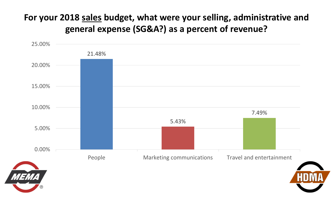#### **For your 2018 sales budget, what were your selling, administrative and general expense (SG&A?) as a percent of revenue?**

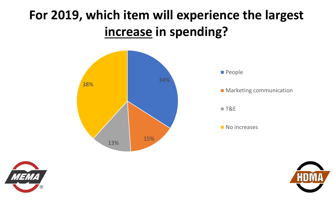### **For 2019, which item will experience the largest increase in spending?**





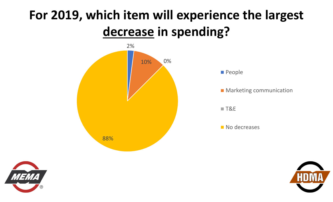#### **For 2019, which item will experience the largest decrease in spending?**





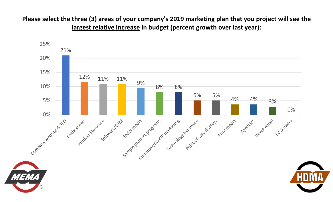**Please select the three (3) areas of your company's 2019 marketing plan that you project will see the largest relative increase in budget (percent growth over last year):**

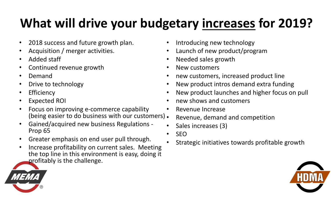### **What will drive your budgetary increases for 2019?**

- $\bullet$ 2018 success and future growth plan.
- $\bullet$ Acquisition / merger activities.
- •Added staff
- $\bullet$ Continued revenue growth
- •Demand
- •Drive to technology
- $\bullet$ **Efficiency**
- $\bullet$ Expected ROI
- $\bullet$  Focus on improving e‐commerce capability (being easier to do business with our customers) •
- $\bullet$  Gained/acquired new business Regulations ‐ Prop 65
- $\bullet$ Greater emphasis on end user pull through.
- $\bullet$  Increase profitability on current sales. Meeting the top line in this environment is easy, doing it profitably is the challenge.
- •Introducing new technology
- •Launch of new product/program
- $\bullet$ Needed sales growth
- •New customers
- $\bullet$ new customers, increased product line
- •New product intros demand extra funding
- •New product launches and higher focus on pull
- •new shows and customers
- •Revenue Increase
- Revenue, demand and competition
- •Sales increases (3)
- $\bullet$ SEO
- •Strategic initiatives towards profitable growth



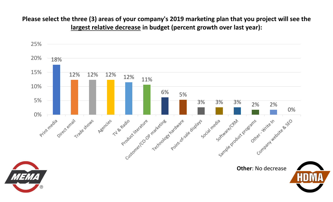#### **Please select the three (3) areas of your company's 2019 marketing plan that you project will see the largest relative decrease in budget (percent growth over last year):**

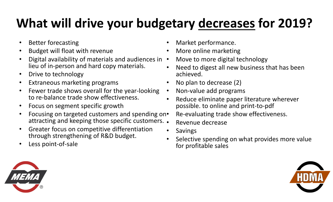### **What will drive your budgetary decreases for 2019?**

- $\bullet$ Better forecasting
- $\bullet$ Budget will float with revenue
- •• Digital availability of materials and audiences in • lieu of in‐person and hard copy materials.
- $\bullet$ Drive to technology
- $\bullet$ Extraneous marketing programs
- $\bullet$  Fewer trade shows overall for the year‐looking to re‐balance trade show effectiveness.
- $\bullet$ Focus on segment specific growth
- $\bullet$ • Focusing on targeted customers and spending on. attracting and keeping those specific customers. •
- $\bullet$  Greater focus on competitive differentiation through strengthening of R&D budget.
- $\bullet$ Less point‐of‐sale
- •Market performance.
- •More online marketing
- Move to more digital technology
- • Need to digest all new business that has been achieved.
- •No plan to decrease (2)
- $\bullet$ Non‐value add programs
- • Reduce eliminate paper literature wherever possible. to online and print‐to‐pdf

Re‐evaluating trade show effectiveness.

- Revenue decrease
- •Savings
- • Selective spending on what provides more value for profitable sales



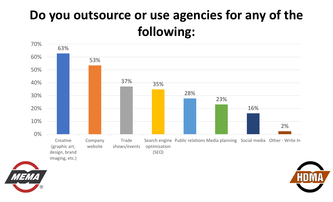#### **Do you outsource or use agencies for any of the following:**





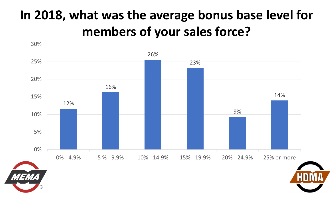### **In 2018, what was the average bonus base level for members of your sales force?**





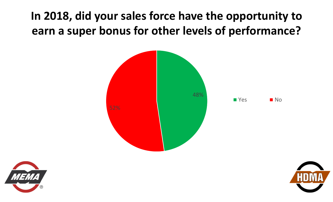**In 2018, did your sales force have the opportunity to earn a super bonus for other levels of performance?**





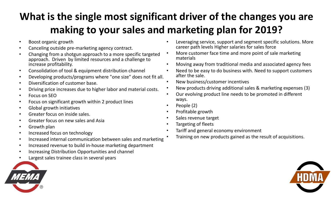#### **What is the single most significant driver of the changes you are making to your sales and marketing plan for 2019?**

- •Boost organic growth
- •Canceling outside pre‐marketing agency contract.
- • Changing from a shotgun approach to a more specific targeted approach. Driven by limited resources and a challenge to increase profitability.
- •Consolidation of tool & equipment distribution channel
- •Developing products/programs where "one size" does not fit all.
- $\bullet$ Diversification of customer base.
- •Driving price increases due to higher labor and material costs.
- •Focus on SEO
- •Focus on significant growth within 2 product lines
- •Global growth initiatives
- $\bullet$ Greater focus on inside sales.
- •Greater focus on new sales and Asia
- •Growth plan
- $\bullet$ Increased focus on technology
- •Increased internal communication between sales and marketing
- •Increased revenue to build in‐house marketing department
- •Increasing Distribution Opportunities and channel
- •Largest sales trainee class in several years
- • Leveraging service, support and segment specific solutions. More career path levels Higher salaries for sales force
- • More customer face time and more point of sale marketing materials
- •Moving away from traditional media and associated agency fees
- • Need to be easy to do business with. Need to support customers after the sale.
- $\bullet$ New business/customer incentives
- •New products driving additional sales & marketing expenses (3)
- • Our evolving product line needs to be promoted in different ways.
- •People (2)

•

- •Profitable growth
- •Sales revenue target
- •Targeting of fleets
- • Tariff and general economy environment
	- Training on new products gained as the result of acquisitions.



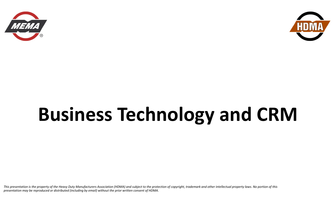



## **Business Technology and CRM**

*This presentation is the property of the Heavy Duty Manufacturers Association (HDMA) and subject to the protection of copyright, trademark and other intellectual property laws. No portion of this presentation may be reproduced or distributed (including by email) without the prior written consent of HDMA.*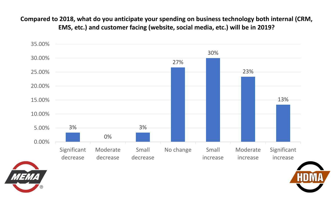**Compared to 2018, what do you anticipate your spending on business technology both internal (CRM, EMS, etc.) and customer facing (website, social media, etc.) will be in 2019?**





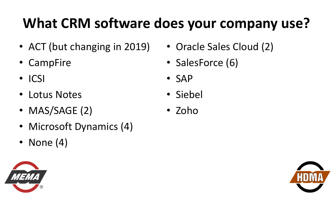## **What CRM software does your company use?**

- ACT (but changing in 2019)
- CampFire
- ICSI
- Lotus Notes
- •MAS/SAGE (2)
- Microsoft Dynamics (4)
- None (4)
- 
- Oracle Sales Cloud (2)
- SalesForce (6)
- SAP
- Siebel
- Zoho

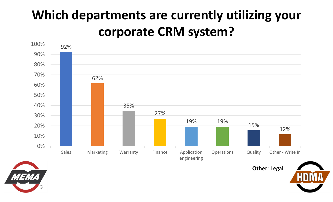### **Which departments are currently utilizing your corporate CRM system?**







**Other**: Legal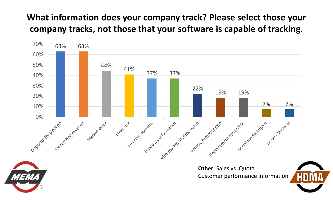#### **What information does your company track? Please select those your company tracks, not those that your software is capable of tracking.**

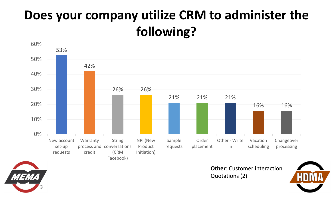### **Does your company utilize CRM to administer the following?**





**Other**: Customer interactionQuotations (2)

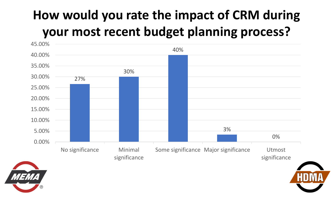### **How would you rate the impact of CRM during your most recent budget planning process?**





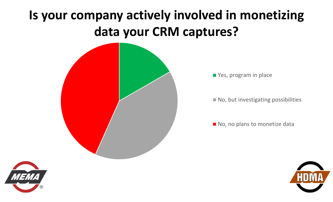### **Is your company actively involved in monetizing data your CRM captures?**



**Panalle** Yes, program in place

 $\blacksquare$  No, but investigating possibilities

No, no plans to monetize data



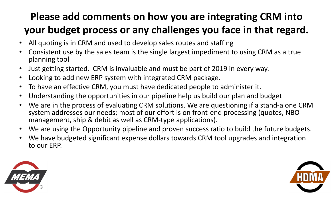#### **Please add comments on how you are integrating CRM into your budget process or any challenges you face in that regard.**

- $\bullet$ All quoting is in CRM and used to develop sales routes and staffing
- • Consistent use by the sales team is the single largest impediment to using CRM as a true planning tool
- $\bullet$ Just getting started. CRM is invaluable and must be part of 2019 in every way.
- $\bullet$ Looking to add new ERP system with integrated CRM package.
- $\bullet$ To have an effective CRM, you must have dedicated people to administer it.
- $\bullet$ Understanding the opportunities in our pipeline help us build our plan and budget
- $\bullet$ We are in the process of evaluating CRM solutions. We are questioning if a stand-alone CRM system addresses our needs; most of our effort is on front-end processing (quotes, NBO management, ship & debit as well as CRM‐type applications).
- $\bullet$ We are using the Opportunity pipeline and proven success ratio to build the future budgets.
- • We have budgeted significant expense dollars towards CRM tool upgrades and integration to our ERP.



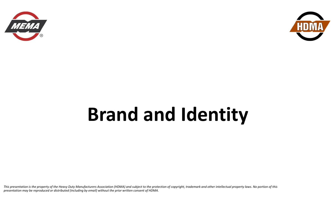



## **Brand and Identity**

*This presentation is the property of the Heavy Duty Manufacturers Association (HDMA) and subject to the protection of copyright, trademark and other intellectual property laws. No portion of this presentation may be reproduced or distributed (including by email) without the prior written consent of HDMA.*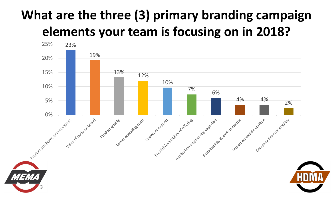### **What are the three (3) primary branding campaign elements your team is focusing on in 2018?**

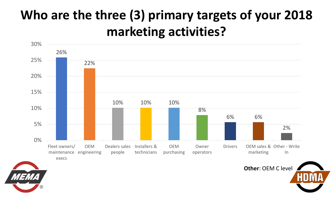### **Who are the three (3) primary targets of your 2018 marketing activities?**





**Other**: OEM C level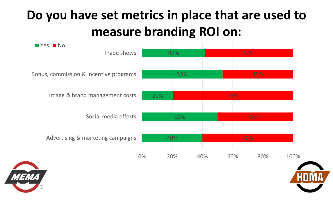### **Do you have set metrics in place that are used to measure branding ROI on:**





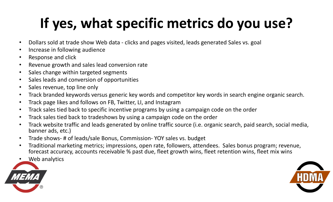## **If yes, what specific metrics do you use?**

- $\bullet$ Dollars sold at trade show Web data ‐ clicks and pages visited, leads generated Sales vs. goal
- •Increase in following audience
- •Response and click
- •Revenue growth and sales lead conversion rate
- $\bullet$ Sales change within targeted segments
- $\bullet$ Sales leads and conversion of opportunities
- $\bullet$ Sales revenue, top line only
- •Track branded keywords versus generic key words and competitor key words in search engine organic search.
- $\bullet$ Track page likes and follows on FB, Twitter, LI, and Instagram
- $\bullet$ Track sales tied back to specific incentive programs by using a campaign code on the order
- •Track sales tied back to tradeshows by using a campaign code on the order
- • Track website traffic and leads generated by online traffic source (i.e. organic search, paid search, social media, banner ads, etc.)
- $\bullet$ Trade shows‐ # of leads/sale Bonus, Commission‐ YOY sales vs. budget
- $\bullet$  Traditional marketing metrics; impressions, open rate, followers, attendees. Sales bonus program; revenue, forecast accuracy, accounts receivable % past due, fleet growth wins, fleet retention wins, fleet mix wins
- •Web analytics



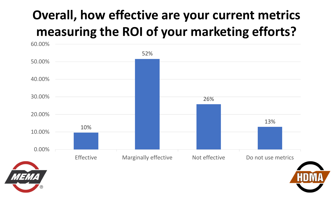### **Overall, how effective are your current metrics measuring the ROI of your marketing efforts?**

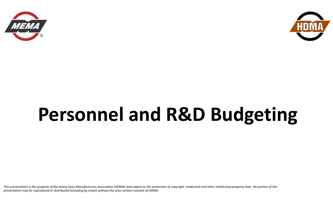



## **Personnel and R&D Budgeting**

*This presentation is the property of the Heavy Duty Manufacturers Association (HDMA) and subject to the protection of copyright, trademark and other intellectual property laws. No portion of this presentation may be reproduced or distributed (including by email) without the prior written consent of HDMA.*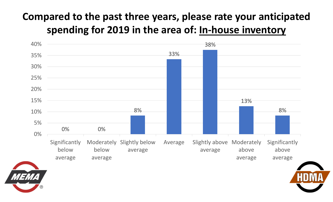#### **Compared to the past three years, please rate your anticipated spending for 2019 in the area of: In‐house inventory**





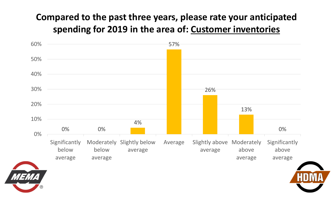#### **Compared to the past three years, please rate your anticipated spending for 2019 in the area of: Customer inventories**





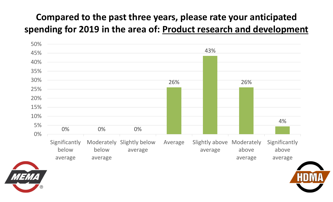#### **Compared to the past three years, please rate your anticipated spending for 2019 in the area of: Product research and development**





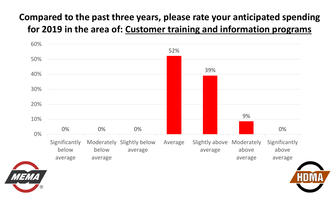#### **Compared to the past three years, please rate your anticipated spending for 2019 in the area of: Customer training and information programs**





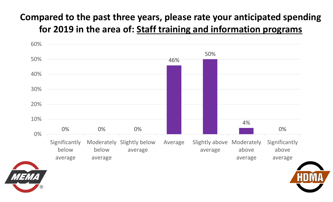#### **Compared to the past three years, please rate your anticipated spending for 2019 in the area of: Staff training and information program s**



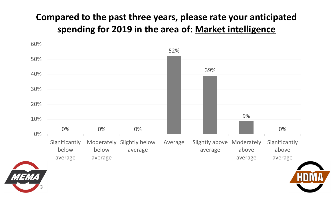#### **Compared to the past three years, please rate your anticipated spending for 2019 in the area of: Market intelligence**





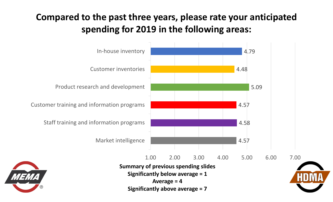#### **Compared to the past three years, please rate your anticipated spending for 2019 in the following areas:**

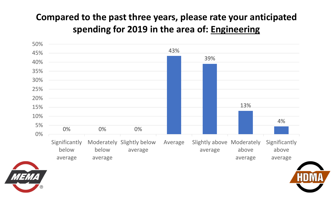#### **Compared to the past three years, please rate your anticipated spending for 2019 in the area of: Engineering**





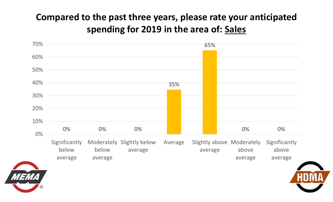#### **Compared to the past three years, please rate your anticipated spending for 2019 in the area of: Sales**





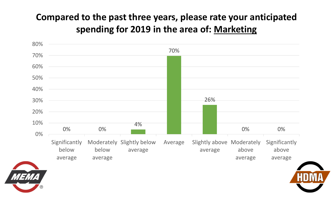#### **Compared to the past three years, please rate your anticipated spending for 2019 in the area of: Marketing**





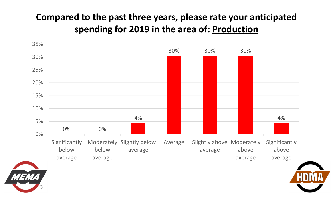#### **Compared to the past three years, please rate your anticipated spending for 2019 in the area of: Production**





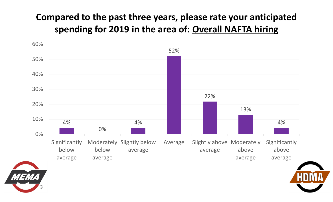#### **Compared to the past three years, please rate your anticipated spending for 2019 in the area of: Overall NAFTA hiring**





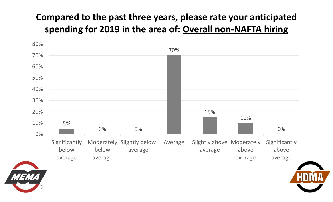#### **Compared to the past three years, please rate your anticipated spending for 2019 in the area of: Overall non‐NAFTA hiring**





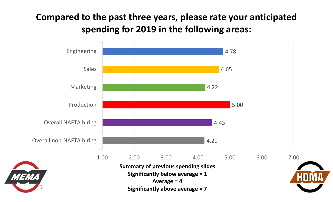#### **Compared to the past three years, please rate your anticipated spending for 2019 in the following areas:**

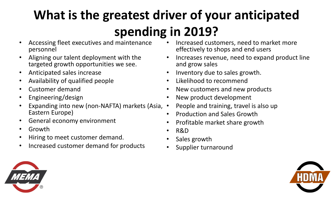### **What is the greatest driver of your anticipated spending in 2019?**

- $\bullet$  Accessing fleet executives and maintenance personnel
- $\bullet$  Aligning our talent deployment with the targeted growth opportunities we see.
- $\bullet$ Anticipated sales increase
- $\bullet$ Availability of qualified people
- $\bullet$ Customer demand
- $\bullet$ Engineering/design
- •• Expanding into new (non-NAFTA) markets (Asia, • Eastern Europe)
- $\bullet$ General economy environment
- $\bullet$ Growth
- •Hiring to meet customer demand.
- $\bullet$ Increased customer demand for products
- • Increased customers, need to market more effectively to shops and end users
- • Increases revenue, need to expand product line and grow sales
- •Inventory due to sales growth.
- $\bullet$ Likelihood to recommend
- $\bullet$ New customers and new products
- $\bullet$ New product development
- People and training, travel is also up
- •Production and Sales Growth
- •Profitable market share growth
- •R&D
- •Sales growth
- $\bullet$ Supplier turnaround



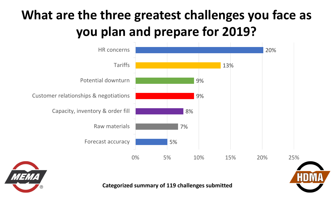

**Categorized summary of 119 challenges submitted**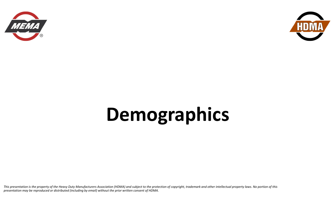



# **Demographics**

*This presentation is the property of the Heavy Duty Manufacturers Association (HDMA) and subject to the protection of copyright, trademark and other intellectual property laws. No portion of this presentation may be reproduced or distributed (including by email) without the prior written consent of HDMA.*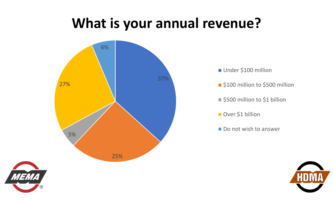### **What is your annual revenue?**





- \$100 million to \$500 million
- \$500 million to \$1 billion
- Over \$1 billion
- Do not wish to answer





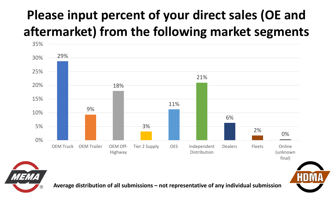### **Please input percent of your direct sales (OE and aftermarket) from the following market segments**





**Average distribution of all submissions – not representative of any individual submission**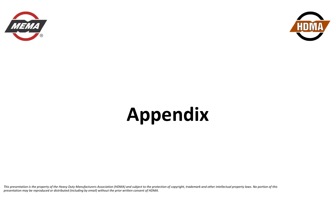



# **Appendix**

*This presentation is the property of the Heavy Duty Manufacturers Association (HDMA) and subject to the protection of copyright, trademark and other intellectual property laws. No portion of this presentation may be reproduced or distributed (including by email) without the prior written consent of HDMA.*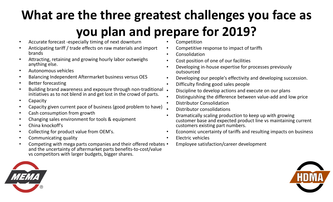- $\bullet$ Accurate forecast ‐especially timing of next downturn
- • Anticipating tariff / trade effects on raw materials and import brands
- • Attracting, retaining and growing hourly labor outweighs anything else.
- •Autonomous vehicles
- •Balancing Independent Aftermarket business versus OES
- $\bullet$ Better forecasting
- •• Building brand awareness and exposure through non-traditional • initiatives as to not blend in and get lost in the crowd of parts.
- $\bullet$ Capacity
- •Capacity given current pace of business (good problem to have)
- •Cash consumption from growth
- •Changing sales environment for tools & equipment
- •China knockoff's
- •Collecting for product value from OEM's.
- •Communicating quality
- $\bullet$ • Competing with mega parts companies and their offered rebates • and the uncertainty of aftermarket parts benefits‐to‐cost/value vs competitors with larger budgets, bigger shares.
- •Competition
- •Competitive response to impact of tariffs
- •Consolidation
- •Cost position of one of our facilities
- • Developing in‐house expertise for processes previously outsourced
- •Developing our people's effectivity and developing succession.
- •Difficulty finding good sales people
- Discipline to develop actions and execute on our plans
- •Distinguishing the difference between value‐add and low price
- •Distributor Consolidation
- •Distributor consolidations
- • Dramatically scaling production to keep up with growing customer base and expected product line vs maintaining current customers existing part numbers.
- •Economic uncertainty of tariffs and resulting impacts on business
- • Electric vehicles
	- Employee satisfaction/career development



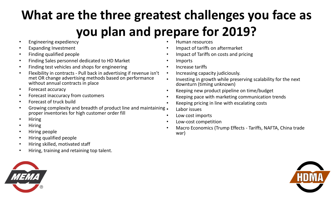- •Engineering expediency
- •Expanding Investment
- •Finding qualified people
- •Finding Sales personnel dedicated to HD Market
- •Finding test vehicles and shops for engineering
- • Flexibility in contracts ‐ Pull back in advertising if revenue isn't met OR change advertising methods based on performance without annual contracts in place
- $\bullet$ Forecast accuracy
- •Forecast inaccuracy from customers
- •Forecast of truck build
- •• Growing complexity and breadth of product line and maintaining. proper inventories for high customer order fill •
- •Hiring
- •Hiring
- •Hiring people
- •Hiring qualified people
- •Hiring skilled, motivated staff
- •Hiring, training and retaining top talent.
- 
- •Human resources
- •Impact of tariffs on aftermarket
- •Impact of Tariffs on costs and pricing
- •Imports
- •Increase tariffs
- •Increasing capacity judiciously.
- • Investing in growth while preserving scalability for the next downturn (timing unknown)
- •Keeping new product pipeline on time/budget
- •Keeping pace with marketing communication trends
- •Keeping pricing in line with escalating costs
- Labor issues
- Low cost imports
- •Low‐cost competition
- • Macro Economics (Trump Effects ‐ Tariffs, NAFTA, China trade war)

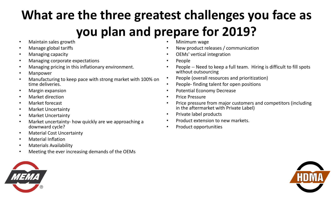- •Maintain sales growth
- •Manage global tariffs
- •Managing capacity
- •Managing corporate expectations
- •Managing pricing in this inflationary environment.
- •Manpower
- • Manufacturing to keep pace with strong market with 100% on time deliveries.
- •Margin expansion
- •Market direction
- •Market forecast
- •Market Uncertainty
- $\bullet$ Market Uncertainty
- • Market uncertainty‐ how quickly are we approaching a downward cycle?
- $\bullet$ Material Cost Uncertainty
- •Material Inflation
- •Materials Availability
- •Meeting the ever increasing demands of the OEMs
- •Minimum wage
- •New product releases / communication
- •OEMs' vertical integration
- •People
- •People -- Need to keep a full team. Hiring is difficult to fill spots without outsourcing
- •People (overall resources and prioritization)
- •People‐ finding talent for open positions
- •Potential Economy Decrease
- •Price Pressure
- • Price pressure from major customers and competitors (including in the aftermarket with Private Label)
- •Private label products
- •Product extension to new markets.
- •Product opportunities



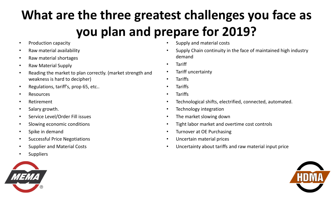- $\bullet$ Production capacity
- $\bullet$ Raw material availability
- $\bullet$ Raw material shortages
- •Raw Material Supply
- • Reading the market to plan correctly. (market strength and weakness is hard to decipher)
- •Regulations, tariff's, prop 65, etc..
- $\bullet$ Resources
- $\bullet$ Retirement
- •Salary growth.
- •Service Level/Order Fill issues
- •Slowing economic conditions
- $\bullet$ Spike in demand
- •Successful Price Negotiations
- •Supplier and Material Costs
- •Suppliers



- •Supply and material costs
- • Supply Chain continuity in the face of maintained high industry demand
- •**Tariff**
- •Tariff uncertainty
- •**Tariffs**
- •Tariffs
- •**Tariffs**
- •Technological shifts, electrified, connected, automated.
- •Technology integration
- •The market slowing down
- $\bullet$ Tight labor market and overtime cost controls
- $\bullet$ Turnover at OE Purchasing
- •Uncertain material prices
- •Uncertainty about tariffs and raw material input price